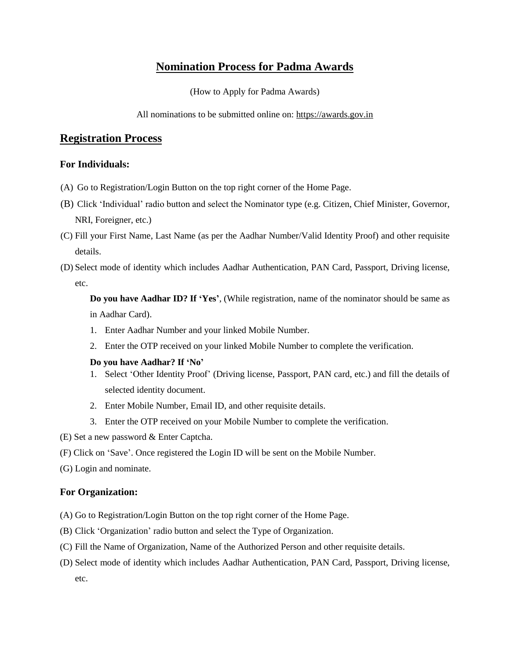# **Nomination Process for Padma Awards**

(How to Apply for Padma Awards)

All nominations to be submitted online on: https://awards.gov.in

## **Registration Process**

### **For Individuals:**

- (A) Go to Registration/Login Button on the top right corner of the Home Page.
- (B) Click 'Individual' radio button and select the Nominator type (e.g. Citizen, Chief Minister, Governor, NRI, Foreigner, etc.)
- (C) Fill your First Name, Last Name (as per the Aadhar Number/Valid Identity Proof) and other requisite details.
- (D) Select mode of identity which includes Aadhar Authentication, PAN Card, Passport, Driving license, etc.

**Do you have Aadhar ID? If 'Yes'**, (While registration, name of the nominator should be same as in Aadhar Card).

- 1. Enter Aadhar Number and your linked Mobile Number.
- 2. Enter the OTP received on your linked Mobile Number to complete the verification.

#### **Do you have Aadhar? If 'No'**

- 1. Select 'Other Identity Proof' (Driving license, Passport, PAN card, etc.) and fill the details of selected identity document.
- 2. Enter Mobile Number, Email ID, and other requisite details.
- 3. Enter the OTP received on your Mobile Number to complete the verification.
- (E) Set a new password & Enter Captcha.
- (F) Click on 'Save'. Once registered the Login ID will be sent on the Mobile Number.
- (G) Login and nominate.

### **For Organization:**

- (A) Go to Registration/Login Button on the top right corner of the Home Page.
- (B) Click 'Organization' radio button and select the Type of Organization.
- (C) Fill the Name of Organization, Name of the Authorized Person and other requisite details.
- (D) Select mode of identity which includes Aadhar Authentication, PAN Card, Passport, Driving license, etc.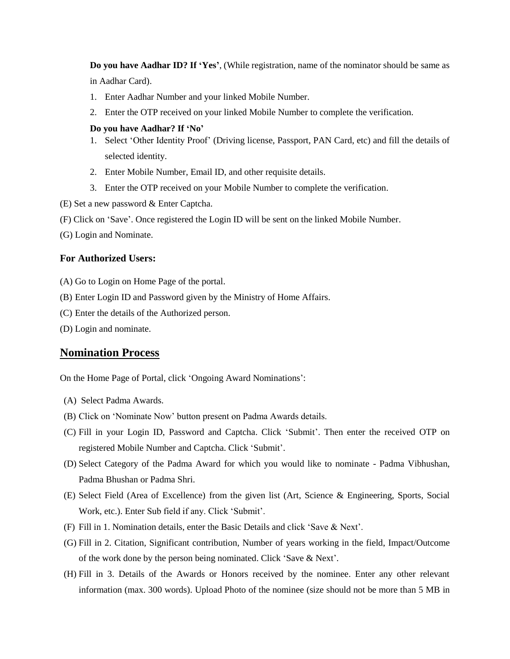**Do you have Aadhar ID? If 'Yes'**, (While registration, name of the nominator should be same as in Aadhar Card).

- 1. Enter Aadhar Number and your linked Mobile Number.
- 2. Enter the OTP received on your linked Mobile Number to complete the verification.

#### **Do you have Aadhar? If 'No'**

- 1. Select 'Other Identity Proof' (Driving license, Passport, PAN Card, etc) and fill the details of selected identity.
- 2. Enter Mobile Number, Email ID, and other requisite details.
- 3. Enter the OTP received on your Mobile Number to complete the verification.
- (E) Set a new password & Enter Captcha.
- (F) Click on 'Save'. Once registered the Login ID will be sent on the linked Mobile Number.
- (G) Login and Nominate.

#### **For Authorized Users:**

- (A) Go to Login on Home Page of the portal.
- (B) Enter Login ID and Password given by the Ministry of Home Affairs.
- (C) Enter the details of the Authorized person.
- (D) Login and nominate.

## **Nomination Process**

On the Home Page of Portal, click 'Ongoing Award Nominations':

- (A) Select Padma Awards.
- (B) Click on 'Nominate Now' button present on Padma Awards details.
- (C) Fill in your Login ID, Password and Captcha. Click 'Submit'. Then enter the received OTP on registered Mobile Number and Captcha. Click 'Submit'.
- (D) Select Category of the Padma Award for which you would like to nominate Padma Vibhushan, Padma Bhushan or Padma Shri.
- (E) Select Field (Area of Excellence) from the given list (Art, Science & Engineering, Sports, Social Work, etc.). Enter Sub field if any. Click 'Submit'.
- (F) Fill in 1. Nomination details, enter the Basic Details and click 'Save & Next'.
- (G) Fill in 2. Citation, Significant contribution, Number of years working in the field, Impact/Outcome of the work done by the person being nominated. Click 'Save & Next'.
- (H) Fill in 3. Details of the Awards or Honors received by the nominee. Enter any other relevant information (max. 300 words). Upload Photo of the nominee (size should not be more than 5 MB in